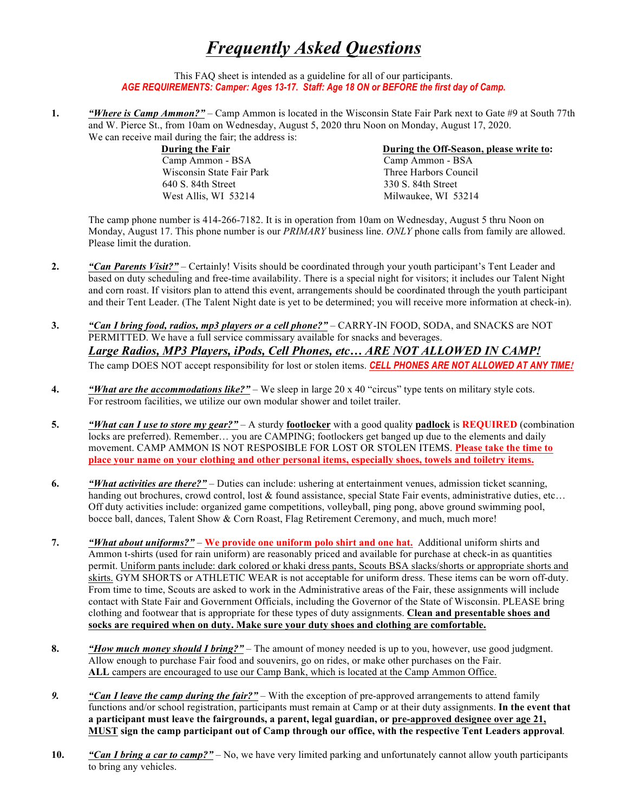## *Frequently Asked Questions*

This FAQ sheet is intended as a guideline for all of our participants. *AGE REQUIREMENTS: Camper: Ages 13-17. Staff: Age 18 ON or BEFORE the first day of Camp.*

**1.** *"Where is Camp Ammon?"* – Camp Ammon is located in the Wisconsin State Fair Park next to Gate #9 at South 77th and W. Pierce St., from 10am on Wednesday, August 5, 2020 thru Noon on Monday, August 17, 2020. We can receive mail during the fair; the address is:

> Camp Ammon - BSA Camp Ammon - BSA Wisconsin State Fair Park Three Harbors Council 640 S. 84th Street 330 S. 84th Street West Allis, WI 53214 Milwaukee, WI 53214

**During the Fair Community Community Community Community During the Off-Season, please write to:** 

The camp phone number is 414-266-7182. It is in operation from 10am on Wednesday, August 5 thru Noon on Monday, August 17. This phone number is our *PRIMARY* business line. *ONLY* phone calls from family are allowed. Please limit the duration.

- **2.** *"Can Parents Visit?"* Certainly! Visits should be coordinated through your youth participant's Tent Leader and based on duty scheduling and free-time availability. There is a special night for visitors; it includes our Talent Night and corn roast. If visitors plan to attend this event, arrangements should be coordinated through the youth participant and their Tent Leader. (The Talent Night date is yet to be determined; you will receive more information at check-in).
- **3.** *"Can I bring food, radios, mp3 players or a cell phone?"* CARRY-IN FOOD, SODA, and SNACKS are NOT PERMITTED. We have a full service commissary available for snacks and beverages. *Large Radios, MP3 Players, iPods, Cell Phones, etc… ARE NOT ALLOWED IN CAMP!* The camp DOES NOT accept responsibility for lost or stolen items. *CELL PHONES ARE NOT ALLOWED AT ANY TIME!*
- **4.** *"What are the accommodations like?"* We sleep in large 20 x 40 "circus" type tents on military style cots. For restroom facilities, we utilize our own modular shower and toilet trailer.
- **5.** *"What can I use to store my gear?"* A sturdy **footlocker** with a good quality **padlock** is **REQUIRED** (combination locks are preferred). Remember… you are CAMPING; footlockers get banged up due to the elements and daily movement. CAMP AMMON IS NOT RESPOSIBLE FOR LOST OR STOLEN ITEMS. **Please take the time to place your name on your clothing and other personal items, especially shoes, towels and toiletry items.**
- **6.** *"What activities are there?"* Duties can include: ushering at entertainment venues, admission ticket scanning, handing out brochures, crowd control, lost & found assistance, special State Fair events, administrative duties, etc... Off duty activities include: organized game competitions, volleyball, ping pong, above ground swimming pool, bocce ball, dances, Talent Show & Corn Roast, Flag Retirement Ceremony, and much, much more!
- **7.** *"What about uniforms?"* **We provide one uniform polo shirt and one hat.** Additional uniform shirts and Ammon t-shirts (used for rain uniform) are reasonably priced and available for purchase at check-in as quantities permit. Uniform pants include: dark colored or khaki dress pants, Scouts BSA slacks/shorts or appropriate shorts and skirts. GYM SHORTS or ATHLETIC WEAR is not acceptable for uniform dress. These items can be worn off-duty. From time to time, Scouts are asked to work in the Administrative areas of the Fair, these assignments will include contact with State Fair and Government Officials, including the Governor of the State of Wisconsin. PLEASE bring clothing and footwear that is appropriate for these types of duty assignments. **Clean and presentable shoes and socks are required when on duty. Make sure your duty shoes and clothing are comfortable.**
- **8.** *"How much money should I bring?"* The amount of money needed is up to you, however, use good judgment. Allow enough to purchase Fair food and souvenirs, go on rides, or make other purchases on the Fair. **ALL** campers are encouraged to use our Camp Bank, which is located at the Camp Ammon Office.
- *9. "Can I leave the camp during the fair?"* With the exception of pre-approved arrangements to attend family functions and/or school registration, participants must remain at Camp or at their duty assignments. **In the event that a participant must leave the fairgrounds, a parent, legal guardian, or pre-approved designee over age 21, MUST sign the camp participant out of Camp through our office, with the respective Tent Leaders approval**.
- **10.** *"Can I bring a car to camp?"* No, we have very limited parking and unfortunately cannot allow youth participants to bring any vehicles.